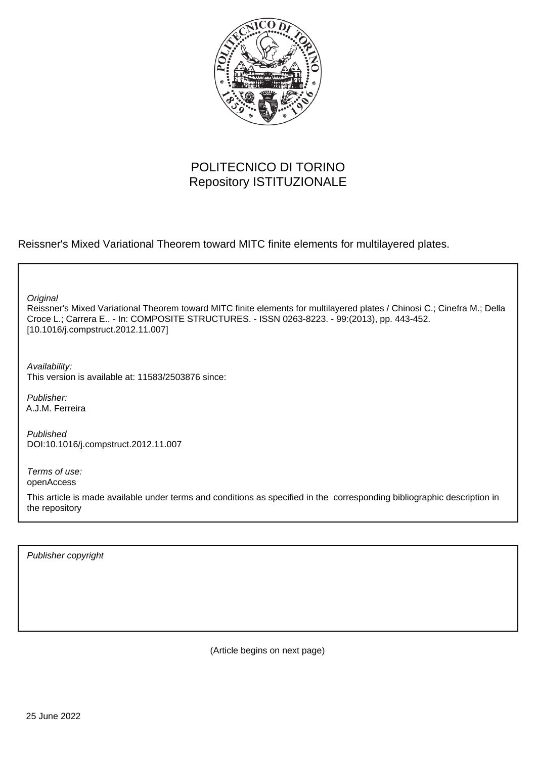

# POLITECNICO DI TORINO Repository ISTITUZIONALE

Reissner's Mixed Variational Theorem toward MITC finite elements for multilayered plates.

**Original** 

Reissner's Mixed Variational Theorem toward MITC finite elements for multilayered plates / Chinosi C.; Cinefra M.; Della Croce L.; Carrera E.. - In: COMPOSITE STRUCTURES. - ISSN 0263-8223. - 99:(2013), pp. 443-452. [10.1016/j.compstruct.2012.11.007]

Availability: This version is available at: 11583/2503876 since:

Publisher: A.J.M. Ferreira

Published DOI:10.1016/j.compstruct.2012.11.007

Terms of use: openAccess

This article is made available under terms and conditions as specified in the corresponding bibliographic description in the repository

Publisher copyright

(Article begins on next page)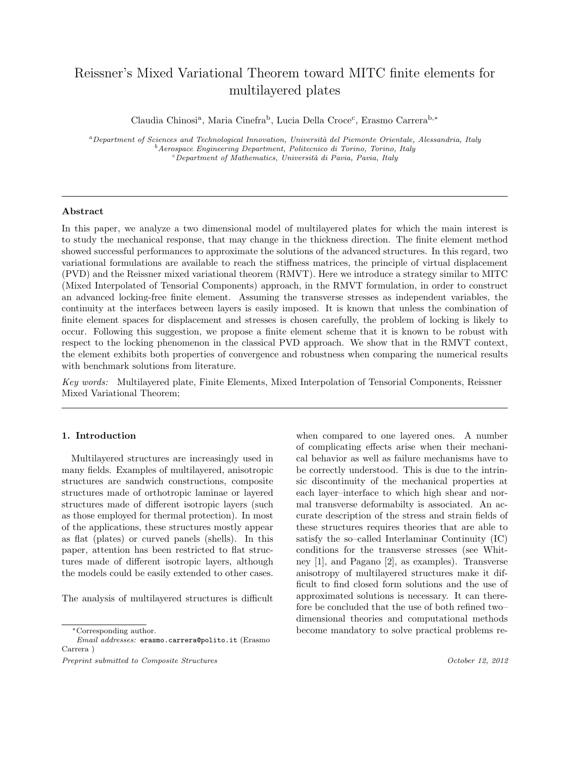## Reissner's Mixed Variational Theorem toward MITC finite elements for multilayered plates

Claudia Chinosi<sup>a</sup>, Maria Cinefra<sup>b</sup>, Lucia Della Croce<sup>c</sup>, Erasmo Carrera<sup>b,\*</sup>

<sup>a</sup>Department of Sciences and Technological Innovation, Università del Piemonte Orientale, Alessandria, Italy  $<sup>b</sup>$ Aerospace Engineering Department, Politecnico di Torino, Torino, Italy</sup>  $c$ Department of Mathematics, Università di Pavia, Pavia, Italy

#### Abstract

In this paper, we analyze a two dimensional model of multilayered plates for which the main interest is to study the mechanical response, that may change in the thickness direction. The finite element method showed successful performances to approximate the solutions of the advanced structures. In this regard, two variational formulations are available to reach the stiffness matrices, the principle of virtual displacement (PVD) and the Reissner mixed variational theorem (RMVT). Here we introduce a strategy similar to MITC (Mixed Interpolated of Tensorial Components) approach, in the RMVT formulation, in order to construct an advanced locking-free finite element. Assuming the transverse stresses as independent variables, the continuity at the interfaces between layers is easily imposed. It is known that unless the combination of finite element spaces for displacement and stresses is chosen carefully, the problem of locking is likely to occur. Following this suggestion, we propose a finite element scheme that it is known to be robust with respect to the locking phenomenon in the classical PVD approach. We show that in the RMVT context, the element exhibits both properties of convergence and robustness when comparing the numerical results with benchmark solutions from literature.

Key words: Multilayered plate, Finite Elements, Mixed Interpolation of Tensorial Components, Reissner Mixed Variational Theorem;

## 1. Introduction

Multilayered structures are increasingly used in many fields. Examples of multilayered, anisotropic structures are sandwich constructions, composite structures made of orthotropic laminae or layered structures made of different isotropic layers (such as those employed for thermal protection). In most of the applications, these structures mostly appear as flat (plates) or curved panels (shells). In this paper, attention has been restricted to flat structures made of different isotropic layers, although the models could be easily extended to other cases.

The analysis of multilayered structures is difficult

when compared to one layered ones. A number of complicating effects arise when their mechanical behavior as well as failure mechanisms have to be correctly understood. This is due to the intrinsic discontinuity of the mechanical properties at each layer–interface to which high shear and normal transverse deformabilty is associated. An accurate description of the stress and strain fields of these structures requires theories that are able to satisfy the so–called Interlaminar Continuity (IC) conditions for the transverse stresses (see Whitney [1], and Pagano [2], as examples). Transverse anisotropy of multilayered structures make it difficult to find closed form solutions and the use of approximated solutions is necessary. It can therefore be concluded that the use of both refined two– dimensional theories and computational methods become mandatory to solve practical problems re-

<sup>∗</sup>Corresponding author.

Email addresses: erasmo.carrera@polito.it (Erasmo Carrera )

Preprint submitted to Composite Structures  $October\ 12, \ 2012$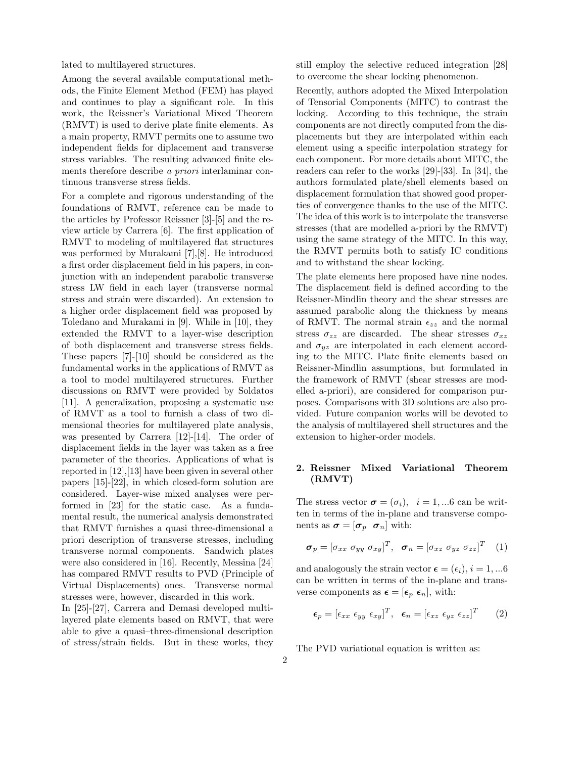lated to multilayered structures.

Among the several available computational methods, the Finite Element Method (FEM) has played and continues to play a significant role. In this work, the Reissner's Variational Mixed Theorem (RMVT) is used to derive plate finite elements. As a main property, RMVT permits one to assume two independent fields for diplacement and transverse stress variables. The resulting advanced finite elements therefore describe a priori interlaminar continuous transverse stress fields.

For a complete and rigorous understanding of the foundations of RMVT, reference can be made to the articles by Professor Reissner [3]-[5] and the review article by Carrera [6]. The first application of RMVT to modeling of multilayered flat structures was performed by Murakami [7],[8]. He introduced a first order displacement field in his papers, in conjunction with an independent parabolic transverse stress LW field in each layer (transverse normal stress and strain were discarded). An extension to a higher order displacement field was proposed by Toledano and Murakami in [9]. While in [10], they extended the RMVT to a layer-wise description of both displacement and transverse stress fields. These papers [7]-[10] should be considered as the fundamental works in the applications of RMVT as a tool to model multilayered structures. Further discussions on RMVT were provided by Soldatos [11]. A generalization, proposing a systematic use of RMVT as a tool to furnish a class of two dimensional theories for multilayered plate analysis, was presented by Carrera [12]-[14]. The order of displacement fields in the layer was taken as a free parameter of the theories. Applications of what is reported in [12],[13] have been given in several other papers [15]-[22], in which closed-form solution are considered. Layer-wise mixed analyses were performed in [23] for the static case. As a fundamental result, the numerical analysis demonstrated that RMVT furnishes a quasi three-dimensional a priori description of transverse stresses, including transverse normal components. Sandwich plates were also considered in [16]. Recently, Messina [24] has compared RMVT results to PVD (Principle of Virtual Displacements) ones. Transverse normal stresses were, however, discarded in this work.

In [25]-[27], Carrera and Demasi developed multilayered plate elements based on RMVT, that were able to give a quasi–three-dimensional description of stress/strain fields. But in these works, they still employ the selective reduced integration [28] to overcome the shear locking phenomenon.

Recently, authors adopted the Mixed Interpolation of Tensorial Components (MITC) to contrast the locking. According to this technique, the strain components are not directly computed from the displacements but they are interpolated within each element using a specific interpolation strategy for each component. For more details about MITC, the readers can refer to the works [29]-[33]. In [34], the authors formulated plate/shell elements based on displacement formulation that showed good properties of convergence thanks to the use of the MITC. The idea of this work is to interpolate the transverse stresses (that are modelled a-priori by the RMVT) using the same strategy of the MITC. In this way, the RMVT permits both to satisfy IC conditions and to withstand the shear locking.

The plate elements here proposed have nine nodes. The displacement field is defined according to the Reissner-Mindlin theory and the shear stresses are assumed parabolic along the thickness by means of RMVT. The normal strain  $\epsilon_{zz}$  and the normal stress  $\sigma_{zz}$  are discarded. The shear stresses  $\sigma_{xz}$ and  $\sigma_{yz}$  are interpolated in each element according to the MITC. Plate finite elements based on Reissner-Mindlin assumptions, but formulated in the framework of RMVT (shear stresses are modelled a-priori), are considered for comparison purposes. Comparisons with 3D solutions are also provided. Future companion works will be devoted to the analysis of multilayered shell structures and the extension to higher-order models.

## 2. Reissner Mixed Variational Theorem (RMVT)

The stress vector  $\sigma = (\sigma_i)$ ,  $i = 1,...6$  can be written in terms of the in-plane and transverse components as  $\boldsymbol{\sigma} = [\boldsymbol{\sigma}_p \ \boldsymbol{\sigma}_n]$  with:

$$
\boldsymbol{\sigma}_p = [\sigma_{xx} \; \sigma_{yy} \; \sigma_{xy}]^T, \; \boldsymbol{\sigma}_n = [\sigma_{xz} \; \sigma_{yz} \; \sigma_{zz}]^T \quad (1)
$$

and analogously the strain vector  $\epsilon = (\epsilon_i), i = 1, ... 6$ can be written in terms of the in-plane and transverse components as  $\epsilon = [\epsilon_p \epsilon_n]$ , with:

$$
\epsilon_p = [\epsilon_{xx} \epsilon_{yy} \epsilon_{xy}]^T, \quad \epsilon_n = [\epsilon_{xz} \epsilon_{yz} \epsilon_{zz}]^T \qquad (2)
$$

The PVD variational equation is written as: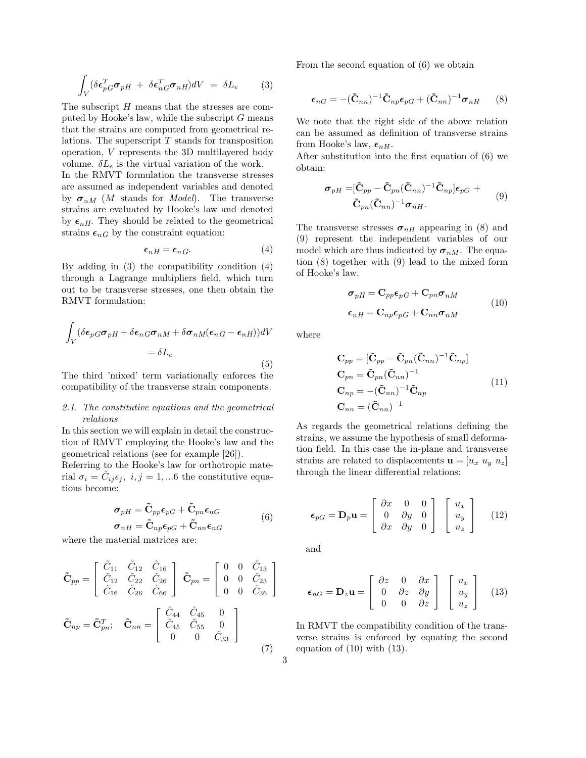$$
\int_{V} (\delta \epsilon_{pG}^{T} \sigma_{pH} + \delta \epsilon_{nG}^{T} \sigma_{nH}) dV = \delta L_e \qquad (3)
$$

The subscript H means that the stresses are computed by Hooke's law, while the subscript  $G$  means that the strains are computed from geometrical relations. The superscript  $T$  stands for transposition operation, V represents the 3D multilayered body volume.  $\delta L_e$  is the virtual variation of the work.

In the RMVT formulation the transverse stresses are assumed as independent variables and denoted by  $\sigma_{nM}$  (*M* stands for *Model*). The transverse strains are evaluated by Hooke's law and denoted by  $\epsilon_{nH}$ . They should be related to the geometrical strains  $\epsilon_{nG}$  by the constraint equation:

$$
\epsilon_{nH} = \epsilon_{nG}.\tag{4}
$$

By adding in (3) the compatibility condition (4) through a Lagrange multipliers field, which turn out to be transverse stresses, one then obtain the RMVT formulation:

$$
\int_{V} (\delta \epsilon_{pG} \sigma_{pH} + \delta \epsilon_{nG} \sigma_{nM} + \delta \sigma_{nM} (\epsilon_{nG} - \epsilon_{nH}))dV
$$

$$
= \delta L_e
$$
(5)

The third 'mixed' term variationally enforces the compatibility of the transverse strain components.

### 2.1. The constitutive equations and the geometrical relations

In this section we will explain in detail the construction of RMVT employing the Hooke's law and the geometrical relations (see for example [26]).

Referring to the Hooke's law for orthotropic material  $\sigma_i = \tilde{C}_{ij} \epsilon_j$ ,  $i, j = 1, ...6$  the constitutive equations become:

$$
\sigma_{pH} = \tilde{C}_{pp}\epsilon_{pG} + \tilde{C}_{pn}\epsilon_{nG}
$$
  
\n
$$
\sigma_{nH} = \tilde{C}_{np}\epsilon_{pG} + \tilde{C}_{nn}\epsilon_{nG}
$$
 (6)

where the material matrices are:

$$
\tilde{\mathbf{C}}_{pp} = \begin{bmatrix} \tilde{C}_{11} & \tilde{C}_{12} & \tilde{C}_{16} \\ \tilde{C}_{12} & \tilde{C}_{22} & \tilde{C}_{26} \\ \tilde{C}_{16} & \tilde{C}_{26} & \tilde{C}_{66} \end{bmatrix} \quad \tilde{\mathbf{C}}_{pn} = \begin{bmatrix} 0 & 0 & \tilde{C}_{13} \\ 0 & 0 & \tilde{C}_{23} \\ 0 & 0 & \tilde{C}_{36} \end{bmatrix}
$$

$$
\tilde{\mathbf{C}}_{np} = \tilde{\mathbf{C}}_{pn}^T; \quad \tilde{\mathbf{C}}_{nn} = \begin{bmatrix} \tilde{C}_{44} & \tilde{C}_{45} & 0 \\ \tilde{C}_{45} & \tilde{C}_{55} & 0 \\ 0 & 0 & \tilde{C}_{33} \end{bmatrix}
$$
(7)

From the second equation of (6) we obtain

$$
\boldsymbol{\epsilon}_{nG} = -(\tilde{\mathbf{C}}_{nn})^{-1} \tilde{\mathbf{C}}_{np} \boldsymbol{\epsilon}_{pG} + (\tilde{\mathbf{C}}_{nn})^{-1} \boldsymbol{\sigma}_{nH} \qquad (8)
$$

We note that the right side of the above relation can be assumed as definition of transverse strains from Hooke's law,  $\epsilon_{nH}$ .

After substitution into the first equation of (6) we obtain:

$$
\sigma_{pH} = [\tilde{\mathbf{C}}_{pp} - \tilde{\mathbf{C}}_{pn} (\tilde{\mathbf{C}}_{nn})^{-1} \tilde{\mathbf{C}}_{np}] \epsilon_{pG} + \tilde{\mathbf{C}}_{pn} (\tilde{\mathbf{C}}_{nn})^{-1} \sigma_{nH}.
$$
\n(9)

The transverse stresses  $\sigma_{nH}$  appearing in (8) and (9) represent the independent variables of our model which are thus indicated by  $\sigma_{nM}$ . The equation (8) together with (9) lead to the mixed form of Hooke's law.

$$
\sigma_{pH} = \mathbf{C}_{pp}\epsilon_{pG} + \mathbf{C}_{pn}\sigma_{nM}
$$
  

$$
\epsilon_{nH} = \mathbf{C}_{np}\epsilon_{pG} + \mathbf{C}_{nn}\sigma_{nM}
$$
 (10)

where

$$
\mathbf{C}_{pp} = [\tilde{\mathbf{C}}_{pp} - \tilde{\mathbf{C}}_{pn} (\tilde{\mathbf{C}}_{nn})^{-1} \tilde{\mathbf{C}}_{np}]
$$
  
\n
$$
\mathbf{C}_{pn} = \tilde{\mathbf{C}}_{pn} (\tilde{\mathbf{C}}_{nn})^{-1}
$$
  
\n
$$
\mathbf{C}_{np} = -(\tilde{\mathbf{C}}_{nn})^{-1} \tilde{\mathbf{C}}_{np}
$$
  
\n
$$
\mathbf{C}_{nn} = (\tilde{\mathbf{C}}_{nn})^{-1}
$$
\n(11)

As regards the geometrical relations defining the strains, we assume the hypothesis of small deformation field. In this case the in-plane and transverse strains are related to displacements  $\mathbf{u} = [u_x, u_y, u_z]$ through the linear differential relations:

$$
\epsilon_{pG} = \mathbf{D}_p \mathbf{u} = \begin{bmatrix} \partial x & 0 & 0 \\ 0 & \partial y & 0 \\ \partial x & \partial y & 0 \end{bmatrix} \begin{bmatrix} u_x \\ u_y \\ u_z \end{bmatrix}
$$
 (12)

and

$$
\epsilon_{nG} = \mathbf{D}_z \mathbf{u} = \begin{bmatrix} \partial z & 0 & \partial x \\ 0 & \partial z & \partial y \\ 0 & 0 & \partial z \end{bmatrix} \begin{bmatrix} u_x \\ u_y \\ u_z \end{bmatrix}
$$
 (13)

In RMVT the compatibility condition of the transverse strains is enforced by equating the second equation of (10) with (13).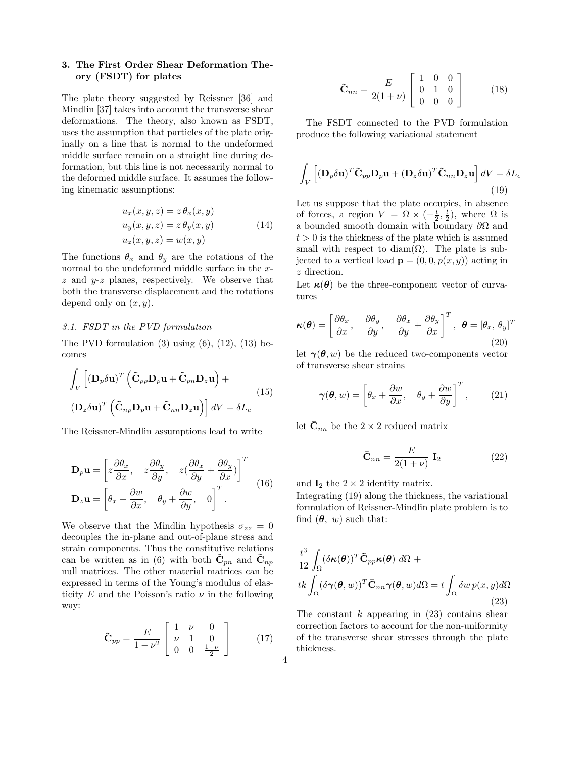## 3. The First Order Shear Deformation Theory (FSDT) for plates

The plate theory suggested by Reissner [36] and Mindlin [37] takes into account the transverse shear deformations. The theory, also known as FSDT, uses the assumption that particles of the plate originally on a line that is normal to the undeformed middle surface remain on a straight line during deformation, but this line is not necessarily normal to the deformed middle surface. It assumes the following kinematic assumptions:

$$
u_x(x, y, z) = z \theta_x(x, y)
$$
  
\n
$$
u_y(x, y, z) = z \theta_y(x, y)
$$
  
\n
$$
u_z(x, y, z) = w(x, y)
$$
\n(14)

The functions  $\theta_x$  and  $\theta_y$  are the rotations of the normal to the undeformed middle surface in the  $x$  $z$  and  $y-z$  planes, respectively. We observe that both the transverse displacement and the rotations depend only on  $(x, y)$ .

## 3.1. FSDT in the PVD formulation

The PVD formulation  $(3)$  using  $(6)$ ,  $(12)$ ,  $(13)$  becomes

$$
\int_{V} \left[ (\mathbf{D}_{p} \delta \mathbf{u})^{T} \left( \tilde{\mathbf{C}}_{pp} \mathbf{D}_{p} \mathbf{u} + \tilde{\mathbf{C}}_{pn} \mathbf{D}_{z} \mathbf{u} \right) + \left( \mathbf{D}_{z} \delta \mathbf{u} \right)^{T} \left( \tilde{\mathbf{C}}_{np} \mathbf{D}_{p} \mathbf{u} + \tilde{\mathbf{C}}_{nn} \mathbf{D}_{z} \mathbf{u} \right) \right] dV = \delta L_{e}
$$
\n(15)

The Reissner-Mindlin assumptions lead to write

$$
\mathbf{D}_p \mathbf{u} = \left[ z \frac{\partial \theta_x}{\partial x}, \quad z \frac{\partial \theta_y}{\partial y}, \quad z \left( \frac{\partial \theta_x}{\partial y} + \frac{\partial \theta_y}{\partial x} \right) \right]^T
$$
  

$$
\mathbf{D}_z \mathbf{u} = \left[ \theta_x + \frac{\partial w}{\partial x}, \quad \theta_y + \frac{\partial w}{\partial y}, \quad 0 \right]^T.
$$
 (16)

We observe that the Mindlin hypothesis  $\sigma_{zz} = 0$ decouples the in-plane and out-of-plane stress and strain components. Thus the constitutive relations can be written as in (6) with both  $\tilde{\mathbf{C}}_{pn}$  and  $\tilde{\mathbf{C}}_{np}$ null matrices. The other material matrices can be expressed in terms of the Young's modulus of elasticity E and the Poisson's ratio  $\nu$  in the following way:

$$
\tilde{\mathbf{C}}_{pp} = \frac{E}{1 - \nu^2} \begin{bmatrix} 1 & \nu & 0 \\ \nu & 1 & 0 \\ 0 & 0 & \frac{1 - \nu}{2} \end{bmatrix}
$$
 (17)

$$
\tilde{\mathbf{C}}_{nn} = \frac{E}{2(1+\nu)} \begin{bmatrix} 1 & 0 & 0 \\ 0 & 1 & 0 \\ 0 & 0 & 0 \end{bmatrix}
$$
 (18)

The FSDT connected to the PVD formulation produce the following variational statement

$$
\int_{V} \left[ (\mathbf{D}_{p} \delta \mathbf{u})^{T} \tilde{\mathbf{C}}_{pp} \mathbf{D}_{p} \mathbf{u} + (\mathbf{D}_{z} \delta \mathbf{u})^{T} \tilde{\mathbf{C}}_{nn} \mathbf{D}_{z} \mathbf{u} \right] dV = \delta L_{e}
$$
\n(19)

Let us suppose that the plate occupies, in absence of forces, a region  $V = \Omega \times (-\frac{t}{2}, \frac{t}{2})$ , where  $\Omega$  is a bounded smooth domain with boundary  $\partial\Omega$  and  $t > 0$  is the thickness of the plate which is assumed small with respect to diam( $\Omega$ ). The plate is subjected to a vertical load  $\mathbf{p} = (0, 0, p(x, y))$  acting in z direction.

Let  $\kappa(\theta)$  be the three-component vector of curvatures

$$
\boldsymbol{\kappa}(\boldsymbol{\theta}) = \left[\frac{\partial \theta_x}{\partial x}, \quad \frac{\partial \theta_y}{\partial y}, \quad \frac{\partial \theta_x}{\partial y} + \frac{\partial \theta_y}{\partial x}\right]^T, \quad \boldsymbol{\theta} = [\theta_x, \theta_y]^T
$$
\n(20)

let  $\gamma(\theta, w)$  be the reduced two-components vector of transverse shear strains

$$
\boldsymbol{\gamma}(\boldsymbol{\theta}, w) = \left[\theta_x + \frac{\partial w}{\partial x}, \quad \theta_y + \frac{\partial w}{\partial y}\right]^T, \qquad (21)
$$

let  $\bar{\mathbf{C}}_{nn}$  be the 2 × 2 reduced matrix

$$
\bar{\mathbf{C}}_{nn} = \frac{E}{2(1+\nu)} \mathbf{I}_2 \tag{22}
$$

and  $\mathbf{I}_2$  the  $2 \times 2$  identity matrix.

Integrating (19) along the thickness, the variational formulation of Reissner-Mindlin plate problem is to find  $(\theta, w)$  such that:

$$
\frac{t^3}{12} \int_{\Omega} (\delta \kappa(\theta))^T \tilde{\mathbf{C}}_{pp} \kappa(\theta) \, d\Omega +
$$
\n
$$
t k \int_{\Omega} (\delta \gamma(\theta, w))^T \bar{\mathbf{C}}_{nn} \gamma(\theta, w) d\Omega = t \int_{\Omega} \delta w \, p(x, y) d\Omega \tag{23}
$$

The constant  $k$  appearing in  $(23)$  contains shear correction factors to account for the non-uniformity of the transverse shear stresses through the plate thickness.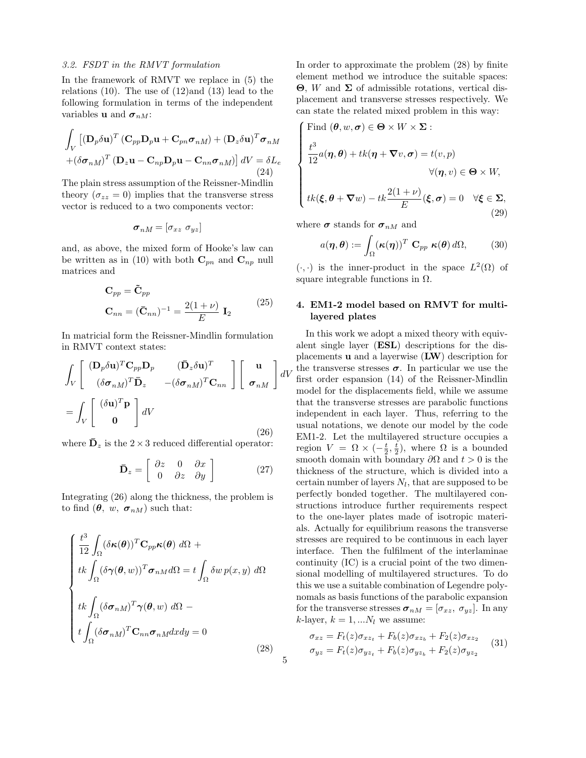## 3.2. FSDT in the RMVT formulation

In the framework of RMVT we replace in (5) the relations  $(10)$ . The use of  $(12)$  and  $(13)$  lead to the following formulation in terms of the independent variables **u** and  $\sigma_{nM}$ :

$$
\int_{V} \left[ (\mathbf{D}_{p} \delta \mathbf{u})^{T} (\mathbf{C}_{pp} \mathbf{D}_{p} \mathbf{u} + \mathbf{C}_{pn} \boldsymbol{\sigma}_{n} M) + (\mathbf{D}_{z} \delta \mathbf{u})^{T} \boldsymbol{\sigma}_{n} M \right] + (\delta \boldsymbol{\sigma}_{n} M)^{T} (\mathbf{D}_{z} \mathbf{u} - \mathbf{C}_{np} \mathbf{D}_{p} \mathbf{u} - \mathbf{C}_{nn} \boldsymbol{\sigma}_{n} M) \right] dV = \delta L_{e}
$$
\n(24)

The plain stress assumption of the Reissner-Mindlin theory  $(\sigma_{zz} = 0)$  implies that the transverse stress vector is reduced to a two components vector:

$$
\boldsymbol{\sigma}_{nM}=[\sigma_{xz} \,\,\sigma_{yz}]
$$

and, as above, the mixed form of Hooke's law can be written as in (10) with both  $\mathbf{C}_{pn}$  and  $\mathbf{C}_{np}$  null matrices and

$$
\mathbf{C}_{pp} = \tilde{\mathbf{C}}_{pp}
$$
  

$$
\mathbf{C}_{nn} = (\bar{\mathbf{C}}_{nn})^{-1} = \frac{2(1+\nu)}{E} \mathbf{I}_2
$$
 (25)

In matricial form the Reissner-Mindlin formulation in RMVT context states:

$$
\int_{V} \begin{bmatrix} (\mathbf{D}_{p}\delta\mathbf{u})^{T}\mathbf{C}_{pp}\mathbf{D}_{p} & (\mathbf{\bar{D}}_{z}\delta\mathbf{u})^{T} \\ (\delta\boldsymbol{\sigma}_{nM})^{T}\mathbf{\bar{D}}_{z} & -(\delta\boldsymbol{\sigma}_{nM})^{T}\mathbf{C}_{nn} \end{bmatrix} \begin{bmatrix} \mathbf{u} \\ \boldsymbol{\sigma}_{nM} \end{bmatrix} dV
$$
\n
$$
= \int_{V} \begin{bmatrix} (\delta\mathbf{u})^{T}\mathbf{p} \\ \mathbf{0} \end{bmatrix} dV
$$
\n(26)

where  $\mathbf{D}_z$  is the 2 × 3 reduced differential operator:

$$
\bar{\mathbf{D}}_z = \left[ \begin{array}{cc} \partial z & 0 & \partial x \\ 0 & \partial z & \partial y \end{array} \right] \tag{27}
$$

Integrating (26) along the thickness, the problem is to find  $(\theta, w, \sigma_{nM})$  such that:

$$
\begin{cases}\n\frac{t^3}{12} \int_{\Omega} (\delta \kappa(\theta))^T \mathbf{C}_{pp} \kappa(\theta) \, d\Omega + \\
tk \int_{\Omega} (\delta \gamma(\theta, w))^T \sigma_{nM} d\Omega = t \int_{\Omega} \delta w \, p(x, y) \, d\Omega \\
\frac{tk}{\int_{\Omega} (\delta \sigma_{nM})^T \gamma(\theta, w) \, d\Omega} - \\
t \int_{\Omega} (\delta \sigma_{nM})^T \mathbf{C}_{nn} \sigma_{nM} dxdy = 0\n\end{cases}
$$
\n(28)

In order to approximate the problem (28) by finite element method we introduce the suitable spaces: Θ, W and Σ of admissible rotations, vertical displacement and transverse stresses respectively. We can state the related mixed problem in this way: J.

Find 
$$
(\theta, w, \sigma) \in \Theta \times W \times \Sigma
$$
:  
\n
$$
\frac{t^3}{12}a(\eta, \theta) + tk(\eta + \nabla v, \sigma) = t(v, p)
$$
\n
$$
\forall (\eta, v) \in \Theta \times W,
$$
\n
$$
tk(\xi, \theta + \nabla w) - tk \frac{2(1 + \nu)}{\xi}, \sigma) = 0 \quad \forall \xi \in \Sigma
$$

$$
tk(\boldsymbol{\xi}, \boldsymbol{\theta} + \boldsymbol{\nabla} w) - tk \frac{2(1+\nu)}{E}(\boldsymbol{\xi}, \boldsymbol{\sigma}) = 0 \quad \forall \boldsymbol{\xi} \in \Sigma,
$$
\n(29)

where 
$$
\boldsymbol{\sigma}
$$
 stands for  $\boldsymbol{\sigma}_{nM}$  and  
\n
$$
a(\boldsymbol{\eta}, \boldsymbol{\theta}) := \int_{\Omega} (\boldsymbol{\kappa}(\boldsymbol{\eta}))^T \mathbf{C}_{pp} \ \boldsymbol{\kappa}(\boldsymbol{\theta}) d\Omega, \qquad (30)
$$

 $(\cdot, \cdot)$  is the inner-product in the space  $L^2(\Omega)$  of square integrable functions in  $\Omega$ .

## 4. EM1-2 model based on RMVT for multilayered plates

dV the transverse stresses  $\sigma$ . In particular we use the  $\delta V$  fund to the poison of the United Studies In this work we adopt a mixed theory with equivalent single layer (ESL) descriptions for the displacements  $\bf{u}$  and a layerwise  $(\bf{LW})$  description for first order espansion (14) of the Reissner-Mindlin model for the displacements field, while we assume that the transverse stresses are parabolic functions independent in each layer. Thus, referring to the usual notations, we denote our model by the code EM1-2. Let the multilayered structure occupies a region  $V = \Omega \times (-\frac{t}{2}, \frac{t}{2})$ , where  $\Omega$  is a bounded smooth domain with boundary  $\partial\Omega$  and  $t > 0$  is the thickness of the structure, which is divided into a certain number of layers  $N_l$ , that are supposed to be perfectly bonded together. The multilayered constructions introduce further requirements respect to the one-layer plates made of isotropic materials. Actually for equilibrium reasons the transverse stresses are required to be continuous in each layer interface. Then the fulfilment of the interlaminae continuity (IC) is a crucial point of the two dimensional modelling of multilayered structures. To do this we use a suitable combination of Legendre polynomals as basis functions of the parabolic expansion for the transverse stresses  $\boldsymbol{\sigma}_{nM} = [\sigma_{xz}, \ \sigma_{yz}]$ . In any  $k$ -layer,  $k = 1, ...N_l$  we assume:

$$
\sigma_{xz} = F_t(z)\sigma_{xz_t} + F_b(z)\sigma_{xz_b} + F_2(z)\sigma_{xz_2}
$$
  
\n
$$
\sigma_{yz} = F_t(z)\sigma_{yz_t} + F_b(z)\sigma_{yz_b} + F_2(z)\sigma_{yz_2}
$$
 (31)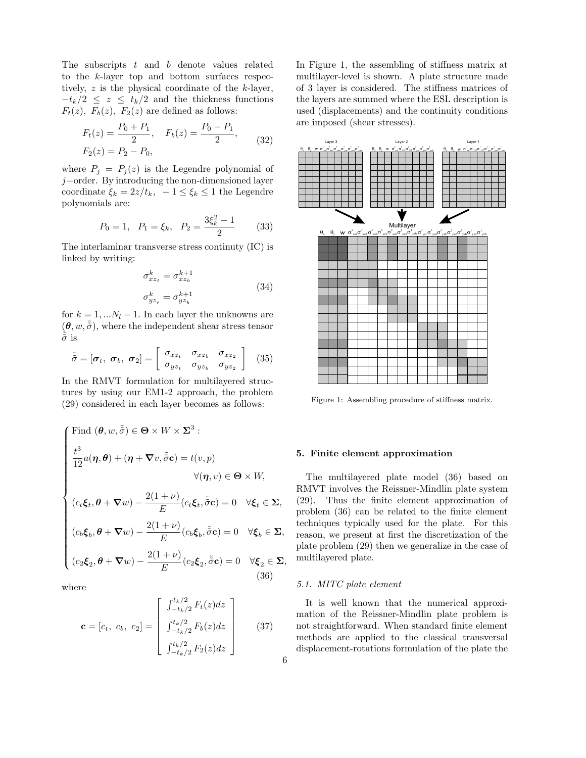The subscripts  $t$  and  $b$  denote values related to the k-layer top and bottom surfaces respectively,  $z$  is the physical coordinate of the  $k$ -layer,  $-t_k/2 \leq z \leq t_k/2$  and the thickness functions  $F_t(z)$ ,  $F_b(z)$ ,  $F_2(z)$  are defined as follows:

$$
F_t(z) = \frac{P_0 + P_1}{2}, \quad F_b(z) = \frac{P_0 - P_1}{2},
$$
  
\n
$$
F_2(z) = P_2 - P_0,
$$
\n(32)

where  $P_j = P_j(z)$  is the Legendre polynomial of j−order. By introducing the non-dimensioned layer coordinate  $\xi_k = 2z/t_k$ ,  $-1 \leq \xi_k \leq 1$  the Legendre polynomials are:

$$
P_0 = 1
$$
,  $P_1 = \xi_k$ ,  $P_2 = \frac{3\xi_k^2 - 1}{2}$  (33)

The interlaminar transverse stress continuty (IC) is linked by writing:

$$
\sigma_{xz_t}^k = \sigma_{xz_b}^{k+1}
$$
\n
$$
\sigma_{yz_t}^k = \sigma_{yz_b}^{k+1}
$$
\n(34)

for  $k = 1, \ldots N_l - 1$ . In each layer the unknowns are  $(\boldsymbol{\theta}, w, \tilde{\tilde{\sigma}})$ , where the independent shear stress tensor  $\tilde{\sigma}$  is

$$
\tilde{\tilde{\sigma}} = [\boldsymbol{\sigma}_t, \ \boldsymbol{\sigma}_b, \ \boldsymbol{\sigma}_2] = \left[ \begin{array}{cc} \sigma_{xz_t} & \sigma_{xz_b} & \sigma_{xz_2} \\ \sigma_{yz_t} & \sigma_{yz_b} & \sigma_{yz_2} \end{array} \right] \quad (35)
$$

In the RMVT formulation for multilayered structures by using our EM1-2 approach, the problem (29) considered in each layer becomes as follows:

$$
\begin{cases}\n\text{Find } (\theta, w, \tilde{\tilde{\sigma}}) \in \Theta \times W \times \Sigma^3 : \\
\frac{t^3}{12} a(\eta, \theta) + (\eta + \nabla v, \tilde{\tilde{\sigma}} \mathbf{c}) = t(v, p) \\
\forall (\eta, v) \in \Theta \times W, \\
(c_t \xi_t, \theta + \nabla w) - \frac{2(1 + \nu)}{E} (c_t \xi_t, \tilde{\tilde{\sigma}} \mathbf{c}) = 0 \quad \forall \xi_t \in \Sigma, \\
(c_b \xi_b, \theta + \nabla w) - \frac{2(1 + \nu)}{E} (c_b \xi_b, \tilde{\tilde{\sigma}} \mathbf{c}) = 0 \quad \forall \xi_b \in \Sigma, \\
(c_2 \xi_2, \theta + \nabla w) - \frac{2(1 + \nu)}{E} (c_2 \xi_2, \tilde{\tilde{\sigma}} \mathbf{c}) = 0 \quad \forall \xi_2 \in \Sigma, \\
(36)\n\end{cases}
$$

where

$$
\mathbf{c} = [c_t, c_b, c_2] = \begin{bmatrix} \int_{-t_k/2}^{t_k/2} F_t(z) dz \\ \int_{-t_k/2}^{t_k/2} F_b(z) dz \\ \int_{-t_k/2}^{t_k/2} F_2(z) dz \end{bmatrix}
$$
(37)

In Figure 1, the assembling of stiffness matrix at multilayer-level is shown. A plate structure made of 3 layer is considered. The stiffness matrices of the layers are summed where the ESL description is used (displacements) and the continuity conditions are imposed (shear stresses).



Figure 1: Assembling procedure of stiffness matrix.

## 5. Finite element approximation

The multilayered plate model (36) based on RMVT involves the Reissner-Mindlin plate system (29). Thus the finite element approximation of problem (36) can be related to the finite element techniques typically used for the plate. For this reason, we present at first the discretization of the plate problem (29) then we generalize in the case of multilayered plate.

## 5.1. MITC plate element

It is well known that the numerical approximation of the Reissner-Mindlin plate problem is not straightforward. When standard finite element methods are applied to the classical transversal displacement-rotations formulation of the plate the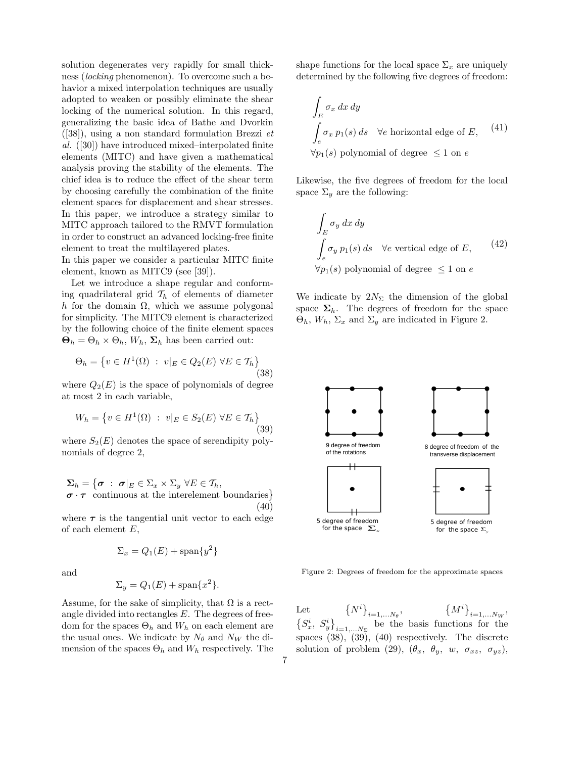solution degenerates very rapidly for small thickness (locking phenomenon). To overcome such a behavior a mixed interpolation techniques are usually adopted to weaken or possibly eliminate the shear locking of the numerical solution. In this regard, generalizing the basic idea of Bathe and Dvorkin  $([38])$ , using a non standard formulation Brezzi et al. ([30]) have introduced mixed–interpolated finite elements (MITC) and have given a mathematical analysis proving the stability of the elements. The chief idea is to reduce the effect of the shear term by choosing carefully the combination of the finite element spaces for displacement and shear stresses. In this paper, we introduce a strategy similar to MITC approach tailored to the RMVT formulation in order to construct an advanced locking-free finite element to treat the multilayered plates.

In this paper we consider a particular MITC finite element, known as MITC9 (see [39]).

Let we introduce a shape regular and conforming quadrilateral grid  $\mathcal{T}_h$  of elements of diameter h for the domain  $\Omega$ , which we assume polygonal for simplicity. The MITC9 element is characterized by the following choice of the finite element spaces  $\mathbf{\Theta}_h = \Theta_h \times \Theta_h$ ,  $W_h$ ,  $\Sigma_h$  has been carried out:

$$
\Theta_h = \left\{ v \in H^1(\Omega) \ : \ v|_E \in Q_2(E) \ \forall E \in \mathcal{T}_h \right\} \tag{38}
$$

where  $Q_2(E)$  is the space of polynomials of degree at most 2 in each variable,

$$
W_h = \left\{ v \in H^1(\Omega) \ : \ v|_E \in S_2(E) \ \forall E \in \mathcal{T}_h \right\}
$$
\n(39)

where  $S_2(E)$  denotes the space of serendipity polynomials of degree 2,

$$
\Sigma_h = \{ \sigma : \sigma |_E \in \Sigma_x \times \Sigma_y \ \forall E \in \mathcal{T}_h, \\ \sigma \cdot \tau \text{ continuous at the interelement boundaries} \}
$$
\n(40)

where  $\tau$  is the tangential unit vector to each edge of each element E,

$$
\Sigma_x = Q_1(E) + \text{span}\{y^2\}
$$

and

$$
\Sigma_y = Q_1(E) + \text{span}\{x^2\}.
$$

Assume, for the sake of simplicity, that  $\Omega$  is a rectangle divided into rectangles  $E$ . The degrees of freedom for the spaces  $\Theta_h$  and  $W_h$  on each element are the usual ones. We indicate by  $N_{\theta}$  and  $N_W$  the dimension of the spaces  $\Theta_h$  and  $W_h$  respectively. The shape functions for the local space  $\Sigma_x$  are uniquely determined by the following five degrees of freedom:

$$
\int_{E} \sigma_x \, dx \, dy
$$
\n
$$
\int_{e} \sigma_x \, p_1(s) \, ds \quad \forall e \text{ horizontal edge of } E, \quad (41)
$$
\n
$$
\forall p_1(s) \text{ polynomial of degree } \leq 1 \text{ on } e
$$

Likewise, the five degrees of freedom for the local space  $\Sigma_u$  are the following:

$$
\int_{E} \sigma_{y} dx dy
$$
\n
$$
\int_{e} \sigma_{y} p_{1}(s) ds \quad \forall e \text{ vertical edge of } E,
$$
\n
$$
\forall p_{1}(s) \text{ polynomial of degree } \leq 1 \text{ on } e
$$
\n(42)

We indicate by  $2N_{\Sigma}$  the dimension of the global space  $\Sigma_h$ . The degrees of freedom for the space  $\Theta_h, W_h, \Sigma_x$  and  $\Sigma_y$  are indicated in Figure 2.



Figure 2: Degrees of freedom for the approximate spaces

Let  $\{N^i\}$  $_{i=1,...N_{\theta}}$  $\{M^i\}$ Let  ${N^i}_{i=1,...N_\theta}, \qquad {M^i}_{i=1,...N_W},$  $S_x^i, S_y^i$ ª  $i=1,...N_{\Sigma}$  be the basis functions for the spaces (38), (39), (40) respectively. The discrete solution of problem (29),  $(\theta_x, \theta_y, w, \sigma_{xz}, \sigma_{yz})$ ,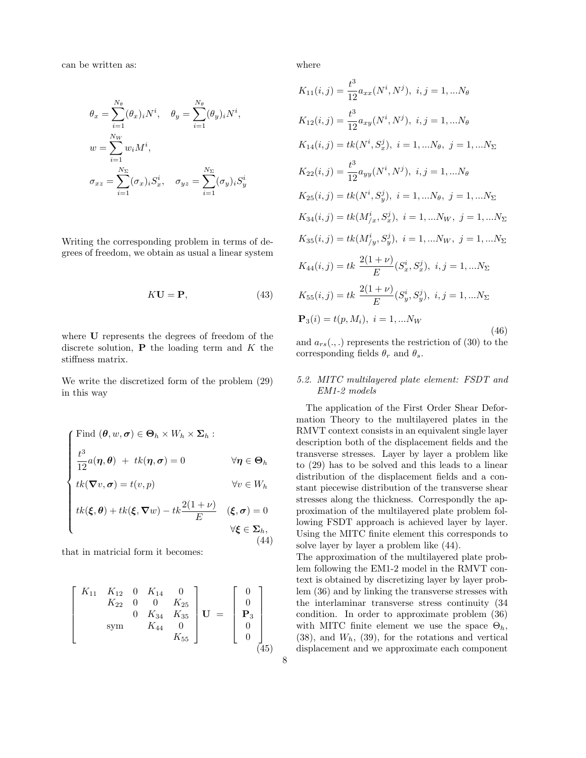can be written as:

$$
\theta_x = \sum_{i=1}^{N_\theta} (\theta_x)_i N^i, \quad \theta_y = \sum_{i=1}^{N_\theta} (\theta_y)_i N^i,
$$
  

$$
w = \sum_{i=1}^{N_W} w_i M^i,
$$
  

$$
\sigma_{xz} = \sum_{i=1}^{N_\Sigma} (\sigma_x)_i S_x^i, \quad \sigma_{yz} = \sum_{i=1}^{N_\Sigma} (\sigma_y)_i S_y^i
$$

Writing the corresponding problem in terms of degrees of freedom, we obtain as usual a linear system

$$
K\mathbf{U} = \mathbf{P},\tag{43}
$$

where U represents the degrees of freedom of the discrete solution,  $P$  the loading term and  $K$  the stiffness matrix.

We write the discretized form of the problem (29) in this way

$$
\begin{cases}\n\text{Find } (\theta, w, \sigma) \in \Theta_h \times W_h \times \Sigma_h: \\
\frac{t^3}{12} a(\eta, \theta) + tk(\eta, \sigma) = 0 & \forall \eta \in \Theta_h \\
tk(\nabla v, \sigma) = t(v, p) & \forall v \in W_h \\
tk(\xi, \theta) + tk(\xi, \nabla w) - tk\frac{2(1+\nu)}{E} & (\xi, \sigma) = 0 \\
&\forall \xi \in \Sigma_h, \\
(44)\n\end{cases}
$$

that in matricial form it becomes:

$$
\begin{bmatrix}\nK_{11} & K_{12} & 0 & K_{14} & 0 \\
K_{22} & 0 & 0 & K_{25} \\
0 & K_{34} & K_{35} & 0 \\
\text{sym} & K_{44} & 0 & 0 \\
K_{55}\n\end{bmatrix}\n\mathbf{U} = \begin{bmatrix}\n0 \\
0 \\
\mathbf{P}_3 \\
0 \\
0 \\
0\n\end{bmatrix}
$$
\n(45)

where

$$
K_{11}(i,j) = \frac{t^3}{12} a_{xx}(N^i, N^j), i, j = 1,...N_{\theta}
$$
  
\n
$$
K_{12}(i,j) = \frac{t^3}{12} a_{xy}(N^i, N^j), i, j = 1,...N_{\theta}
$$
  
\n
$$
K_{14}(i,j) = tk(N^i, S_x^j), i = 1,...N_{\theta}, j = 1,...N_{\Sigma}
$$
  
\n
$$
K_{22}(i,j) = \frac{t^3}{12} a_{yy}(N^i, N^j), i, j = 1,...N_{\theta}
$$
  
\n
$$
K_{25}(i,j) = tk(N^i, S_y^j), i = 1,...N_{\theta}, j = 1,...N_{\Sigma}
$$
  
\n
$$
K_{34}(i,j) = tk(M^i_{/x}, S_x^j), i = 1,...N_{W}, j = 1,...N_{\Sigma}
$$
  
\n
$$
K_{35}(i,j) = tk(M^i_{/y}, S_y^j), i = 1,...N_{W}, j = 1,...N_{\Sigma}
$$
  
\n
$$
K_{44}(i,j) = tk \frac{2(1+\nu)}{E}(S_x^i, S_x^j), i, j = 1,...N_{\Sigma}
$$
  
\n
$$
K_{55}(i,j) = tk \frac{2(1+\nu)}{E}(S_y^i, S_y^j), i, j = 1,...N_{\Sigma}
$$
  
\n
$$
P_3(i) = t(p, M_i), i = 1,...N_{W}
$$
  
\n(46)

and  $a_{rs}(.,.)$  represents the restriction of (30) to the corresponding fields  $\theta_r$  and  $\theta_s$ .

## 5.2. MITC multilayered plate element: FSDT and EM1-2 models

The application of the First Order Shear Deformation Theory to the multilayered plates in the RMVT context consists in an equivalent single layer description both of the displacement fields and the transverse stresses. Layer by layer a problem like to (29) has to be solved and this leads to a linear distribution of the displacement fields and a constant piecewise distribution of the transverse shear stresses along the thickness. Correspondly the approximation of the multilayered plate problem following FSDT approach is achieved layer by layer. Using the MITC finite element this corresponds to solve layer by layer a problem like (44).

The approximation of the multilayered plate problem following the EM1-2 model in the RMVT context is obtained by discretizing layer by layer problem (36) and by linking the transverse stresses with the interlaminar transverse stress continuity (34 condition. In order to approximate problem (36) with MITC finite element we use the space  $\Theta_h$ ,  $(38)$ , and  $W_h$ ,  $(39)$ , for the rotations and vertical displacement and we approximate each component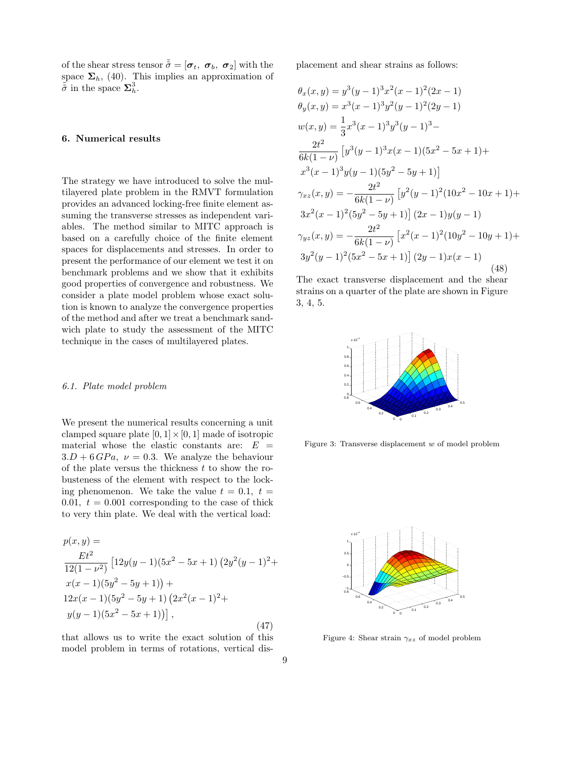of the shear stress tensor  $\tilde{\tilde{\sigma}} = [\sigma_t, \ \sigma_b, \ \sigma_2]$  with the space  $\Sigma_h$ , (40). This implies an approximation of  $\tilde{\tilde{\sigma}}$  in the space  $\Sigma_h^3$ .

## 6. Numerical results

The strategy we have introduced to solve the multilayered plate problem in the RMVT formulation provides an advanced locking-free finite element assuming the transverse stresses as independent variables. The method similar to MITC approach is based on a carefully choice of the finite element spaces for displacements and stresses. In order to present the performance of our element we test it on benchmark problems and we show that it exhibits good properties of convergence and robustness. We consider a plate model problem whose exact solution is known to analyze the convergence properties of the method and after we treat a benchmark sandwich plate to study the assessment of the MITC technique in the cases of multilayered plates.

#### 6.1. Plate model problem

We present the numerical results concerning a unit clamped square plate  $[0, 1] \times [0, 1]$  made of isotropic material whose the elastic constants are:  $E =$  $3.D + 6 GPa$ ,  $\nu = 0.3$ . We analyze the behaviour of the plate versus the thickness  $t$  to show the robusteness of the element with respect to the locking phenomenon. We take the value  $t = 0.1$ ,  $t =$ 0.01,  $t = 0.001$  corresponding to the case of thick to very thin plate. We deal with the vertical load:

$$
p(x,y) =
$$
  
\n
$$
\frac{Et^2}{12(1-\nu^2)} [12y(y-1)(5x^2-5x+1) (2y^2(y-1)^2 +
$$
  
\n
$$
x(x-1)(5y^2-5y+1)) +
$$
  
\n
$$
12x(x-1)(5y^2-5y+1) (2x^2(x-1)^2 +
$$
  
\n
$$
y(y-1)(5x^2-5x+1))],
$$
\n(47)

that allows us to write the exact solution of this model problem in terms of rotations, vertical displacement and shear strains as follows:

$$
\theta_x(x, y) = y^3(y - 1)^3x^2(z - 1)^2(2x - 1)
$$
  
\n
$$
\theta_y(x, y) = x^3(x - 1)^3y^2(y - 1)^2(2y - 1)
$$
  
\n
$$
w(x, y) = \frac{1}{3}x^3(x - 1)^3y^3(y - 1)^3 -
$$
  
\n
$$
\frac{2t^2}{6k(1 - \nu)} [y^3(y - 1)^3x(x - 1)(5x^2 - 5x + 1) +
$$
  
\n
$$
x^3(x - 1)^3y(y - 1)(5y^2 - 5y + 1)]
$$
  
\n
$$
\gamma_{xz}(x, y) = -\frac{2t^2}{6k(1 - \nu)} [y^2(y - 1)^2(10x^2 - 10x + 1) +
$$
  
\n
$$
3x^2(x - 1)^2(5y^2 - 5y + 1)] (2x - 1)y(y - 1)
$$
  
\n
$$
\gamma_{yz}(x, y) = -\frac{2t^2}{6k(1 - \nu)} [x^2(x - 1)^2(10y^2 - 10y + 1) +
$$
  
\n
$$
3y^2(y - 1)^2(5x^2 - 5x + 1)] (2y - 1)x(x - 1)
$$
\n(48)

The exact transverse displacement and the shear strains on a quarter of the plate are shown in Figure 3, 4, 5.



Figure 3: Transverse displacement w of model problem



Figure 4: Shear strain  $\gamma_{xz}$  of model problem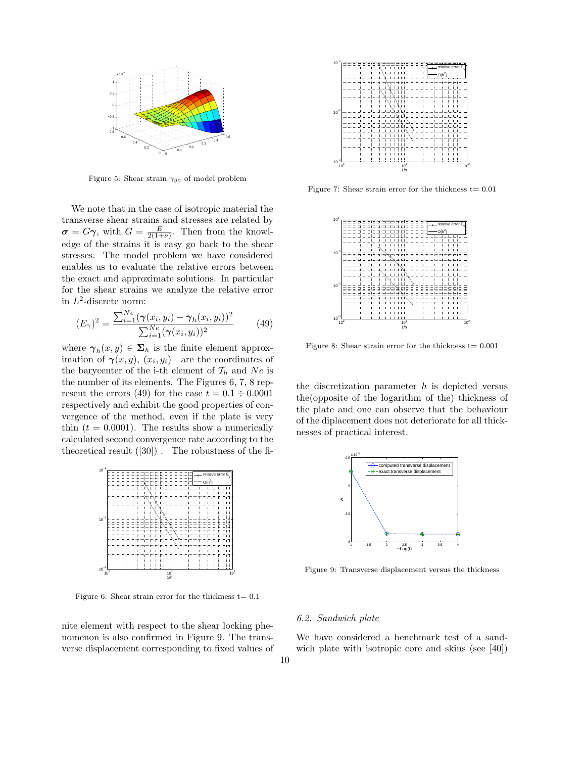

Figure 5: Shear strain  $\gamma_{yz}$  of model problem

We note that in the case of isotropic material the transverse shear strains and stresses are related by  $\sigma = G\gamma$ , with  $G = \frac{E}{2(1+\nu)}$ . Then from the knowledge of the strains it is easy go back to the shear stresses. The model problem we have considered enables us to evaluate the relative errors between the exact and approximate solutions. In particular for the shear strains we analyze the relative error in  $L^2$ -discrete norm:

$$
(E_{\gamma})^2 = \frac{\sum_{i=1}^{Ne} (\gamma(x_i, y_i) - \gamma_h(x_i, y_i))^2}{\sum_{i=1}^{Ne} (\gamma(x_i, y_i))^2}
$$
(49)

where  $\gamma_h(x, y) \in \Sigma_h$  is the finite element approximation of  $\gamma(x, y)$ ,  $(x_i, y_i)$  are the coordinates of the barycenter of the i-th element of  $\mathcal{T}_h$  and  $Ne$  is the number of its elements. The Figures 6, 7, 8 represent the errors (49) for the case  $t = 0.1 \div 0.0001$ respectively and exhibit the good properties of convergence of the method, even if the plate is very thin  $(t = 0.0001)$ . The results show a numerically calculated second convergence rate according to the theoretical result  $([30])$ . The robustness of the fi-



Figure 6: Shear strain error for the thickness  $t= 0.1$ 

nite element with respect to the shear locking phenomenon is also confirmed in Figure 9. The transverse displacement corresponding to fixed values of



Figure 7: Shear strain error for the thickness  $t= 0.01$ 



Figure 8: Shear strain error for the thickness  $t= 0.001$ 

the discretization parameter  $h$  is depicted versus the(opposite of the logarithm of the) thickness of the plate and one can observe that the behaviour of the diplacement does not deteriorate for all thicknesses of practical interest.



Figure 9: Transverse displacement versus the thickness

#### 6.2. Sandwich plate

We have considered a benchmark test of a sandwich plate with isotropic core and skins (see [40])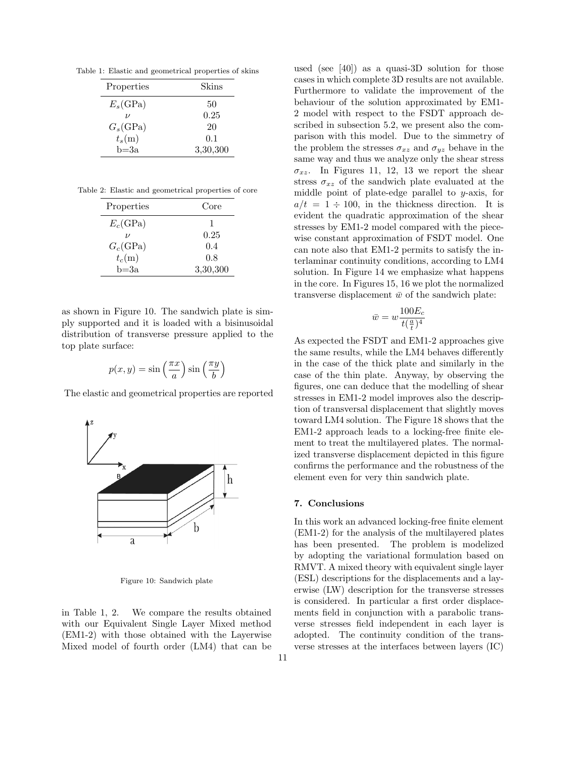Table 1: Elastic and geometrical properties of skins

| Properties         | Skins    |
|--------------------|----------|
| $E_s$ (GPa)        | 50       |
| $\boldsymbol{\nu}$ | 0.25     |
| $G_s(\text{GPa})$  | 20       |
| $t_s(m)$           | 0.1      |
| $b = 3a$           | 3,30,300 |

Table 2: Elastic and geometrical properties of core

| Properties        | Core     |
|-------------------|----------|
| $E_c(\text{GPa})$ |          |
|                   | 0.25     |
| $G_c(\text{GPa})$ | 0.4      |
| $t_c(m)$          | 0.8      |
| b≕3a              | 3,30,300 |

as shown in Figure 10. The sandwich plate is simply supported and it is loaded with a bisinusoidal distribution of transverse pressure applied to the top plate surface:

$$
p(x, y) = \sin\left(\frac{\pi x}{a}\right) \sin\left(\frac{\pi y}{b}\right)
$$

The elastic and geometrical properties are reported



Figure 10: Sandwich plate

in Table 1, 2. We compare the results obtained with our Equivalent Single Layer Mixed method (EM1-2) with those obtained with the Layerwise Mixed model of fourth order (LM4) that can be

used (see [40]) as a quasi-3D solution for those cases in which complete 3D results are not available. Furthermore to validate the improvement of the behaviour of the solution approximated by EM1- 2 model with respect to the FSDT approach described in subsection 5.2, we present also the comparison with this model. Due to the simmetry of the problem the stresses  $\sigma_{xz}$  and  $\sigma_{yz}$  behave in the same way and thus we analyze only the shear stress  $\sigma_{xz}$ . In Figures 11, 12, 13 we report the shear stress  $\sigma_{xz}$  of the sandwich plate evaluated at the middle point of plate-edge parallel to y-axis, for  $a/t = 1 \div 100$ , in the thickness direction. It is evident the quadratic approximation of the shear stresses by EM1-2 model compared with the piecewise constant approximation of FSDT model. One can note also that EM1-2 permits to satisfy the interlaminar continuity conditions, according to LM4 solution. In Figure 14 we emphasize what happens in the core. In Figures 15, 16 we plot the normalized transverse displacement  $\bar{w}$  of the sandwich plate:

$$
\bar{w} = w \frac{100E_c}{t(\frac{a}{t})^4}
$$

As expected the FSDT and EM1-2 approaches give the same results, while the LM4 behaves differently in the case of the thick plate and similarly in the case of the thin plate. Anyway, by observing the figures, one can deduce that the modelling of shear stresses in EM1-2 model improves also the description of transversal displacement that slightly moves toward LM4 solution. The Figure 18 shows that the EM1-2 approach leads to a locking-free finite element to treat the multilayered plates. The normalized transverse displacement depicted in this figure confirms the performance and the robustness of the element even for very thin sandwich plate.

## 7. Conclusions

In this work an advanced locking-free finite element (EM1-2) for the analysis of the multilayered plates has been presented. The problem is modelized by adopting the variational formulation based on RMVT. A mixed theory with equivalent single layer (ESL) descriptions for the displacements and a layerwise (LW) description for the transverse stresses is considered. In particular a first order displacements field in conjunction with a parabolic transverse stresses field independent in each layer is adopted. The continuity condition of the transverse stresses at the interfaces between layers (IC)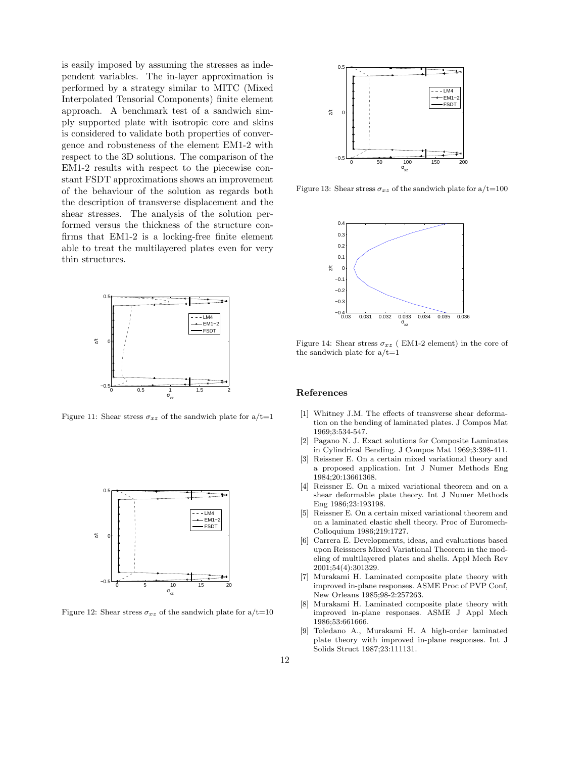is easily imposed by assuming the stresses as independent variables. The in-layer approximation is performed by a strategy similar to MITC (Mixed Interpolated Tensorial Components) finite element approach. A benchmark test of a sandwich simply supported plate with isotropic core and skins is considered to validate both properties of convergence and robusteness of the element EM1-2 with respect to the 3D solutions. The comparison of the EM1-2 results with respect to the piecewise constant FSDT approximations shows an improvement of the behaviour of the solution as regards both the description of transverse displacement and the shear stresses. The analysis of the solution performed versus the thickness of the structure confirms that EM1-2 is a locking-free finite element able to treat the multilayered plates even for very thin structures.



Figure 11: Shear stress  $\sigma_{xz}$  of the sandwich plate for  $a/t=1$ 



Figure 12: Shear stress  $\sigma_{xz}$  of the sandwich plate for  $a/t=10$ 



Figure 13: Shear stress  $\sigma_{xz}$  of the sandwich plate for  $a/t=100$ 



Figure 14: Shear stress  $\sigma_{xz}$  (EM1-2 element) in the core of the sandwich plate for  $a/t=1$ 

#### References

- [1] Whitney J.M. The effects of transverse shear deformation on the bending of laminated plates. J Compos Mat 1969;3:534-547.
- [2] Pagano N. J. Exact solutions for Composite Laminates in Cylindrical Bending. J Compos Mat 1969;3:398-411.
- [3] Reissner E. On a certain mixed variational theory and a proposed application. Int J Numer Methods Eng 1984;20:13661368.
- [4] Reissner E. On a mixed variational theorem and on a shear deformable plate theory. Int J Numer Methods Eng 1986;23:193198.
- [5] Reissner E. On a certain mixed variational theorem and on a laminated elastic shell theory. Proc of Euromech-Colloquium 1986;219:1727.
- [6] Carrera E. Developments, ideas, and evaluations based upon Reissners Mixed Variational Theorem in the modeling of multilayered plates and shells. Appl Mech Rev 2001;54(4):301329.
- [7] Murakami H. Laminated composite plate theory with improved in-plane responses. ASME Proc of PVP Conf, New Orleans 1985;98-2:257263.
- [8] Murakami H. Laminated composite plate theory with improved in-plane responses. ASME J Appl Mech 1986;53:661666.
- [9] Toledano A., Murakami H. A high-order laminated plate theory with improved in-plane responses. Int J Solids Struct 1987;23:111131.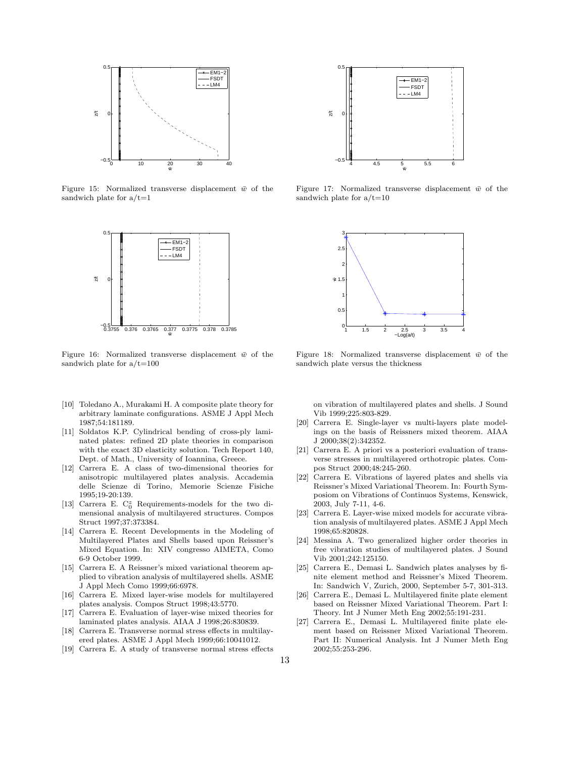

Figure 15: Normalized transverse displacement  $\bar{w}$  of the sandwich plate for  $a/t=1$ 



Figure 16: Normalized transverse displacement  $\bar{w}$  of the sandwich plate for  $a/t=100$ 

- [10] Toledano A., Murakami H. A composite plate theory for arbitrary laminate configurations. ASME J Appl Mech 1987;54:181189.
- [11] Soldatos K.P. Cylindrical bending of cross-ply laminated plates: refined 2D plate theories in comparison with the exact 3D elasticity solution. Tech Report 140, Dept. of Math., University of Ioannina, Greece.
- [12] Carrera E. A class of two-dimensional theories for anisotropic multilayered plates analysis. Accademia delle Scienze di Torino, Memorie Scienze Fisiche 1995;19-20:139.
- [13] Carrera E.  $C_0^z$  Requirements-models for the two dimensional analysis of multilayered structures. Compos Struct 1997;37:373384.
- [14] Carrera E. Recent Developments in the Modeling of Multilayered Plates and Shells based upon Reissner's Mixed Equation. In: XIV congresso AIMETA, Como 6-9 October 1999.
- [15] Carrera E. A Reissner's mixed variational theorem applied to vibration analysis of multilayered shells. ASME J Appl Mech Como 1999;66:6978.
- [16] Carrera E. Mixed layer-wise models for multilayered plates analysis. Compos Struct 1998;43:5770.
- [17] Carrera E. Evaluation of layer-wise mixed theories for laminated plates analysis. AIAA J 1998;26:830839.
- [18] Carrera E. Transverse normal stress effects in multilayered plates. ASME J Appl Mech 1999;66:10041012.
- [19] Carrera E. A study of transverse normal stress effects



Figure 17: Normalized transverse displacement  $\bar{w}$  of the sandwich plate for  $a/t=10$ 



Figure 18: Normalized transverse displacement  $\bar{w}$  of the sandwich plate versus the thickness

on vibration of multilayered plates and shells. J Sound Vib 1999;225:803-829.

- [20] Carrera E. Single-layer vs multi-layers plate modelings on the basis of Reissners mixed theorem. AIAA J 2000;38(2):342352.
- [21] Carrera E. A priori vs a posteriori evaluation of transverse stresses in multilayered orthotropic plates. Compos Struct 2000;48:245-260.
- [22] Carrera E. Vibrations of layered plates and shells via Reissner's Mixed Variational Theorem. In: Fourth Symposiom on Vibrations of Continuos Systems, Kenswick, 2003, July 7-11, 4-6.
- [23] Carrera E. Layer-wise mixed models for accurate vibration analysis of multilayered plates. ASME J Appl Mech 1998;65:820828.
- [24] Messina A. Two generalized higher order theories in free vibration studies of multilayered plates. J Sound Vib 2001;242:125150.
- [25] Carrera E., Demasi L. Sandwich plates analyses by finite element method and Reissner's Mixed Theorem. In: Sandwich V, Zurich, 2000, September 5-7, 301-313.
- [26] Carrera E., Demasi L. Multilayered finite plate element based on Reissner Mixed Variational Theorem. Part I: Theory. Int J Numer Meth Eng 2002;55:191-231.
- [27] Carrera E., Demasi L. Multilayered finite plate element based on Reissner Mixed Variational Theorem. Part II: Numerical Analysis. Int J Numer Meth Eng 2002;55:253-296.